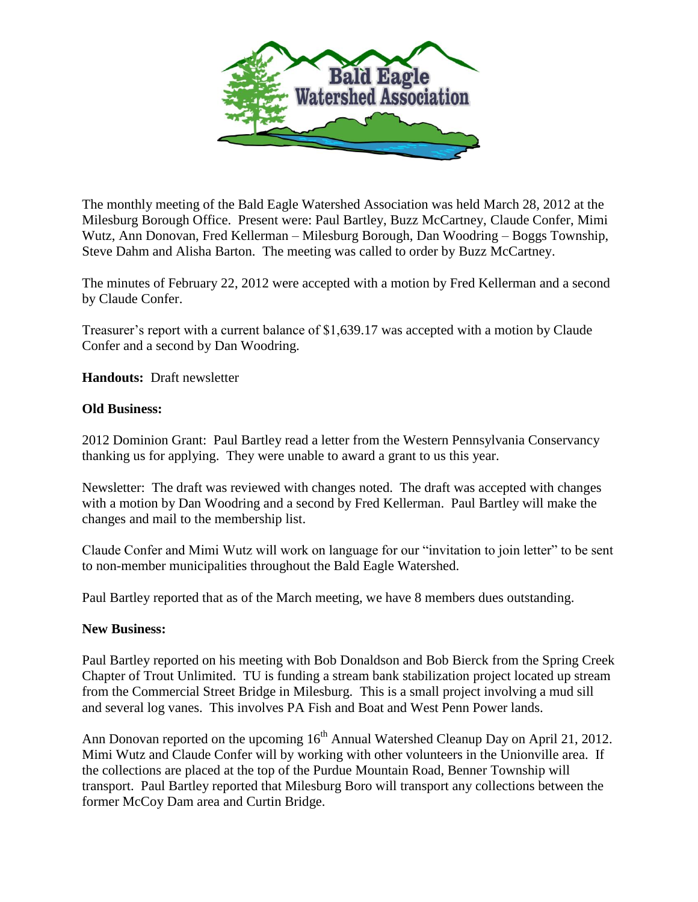

The monthly meeting of the Bald Eagle Watershed Association was held March 28, 2012 at the Milesburg Borough Office. Present were: Paul Bartley, Buzz McCartney, Claude Confer, Mimi Wutz, Ann Donovan, Fred Kellerman – Milesburg Borough, Dan Woodring – Boggs Township, Steve Dahm and Alisha Barton. The meeting was called to order by Buzz McCartney.

The minutes of February 22, 2012 were accepted with a motion by Fred Kellerman and a second by Claude Confer.

Treasurer's report with a current balance of \$1,639.17 was accepted with a motion by Claude Confer and a second by Dan Woodring.

**Handouts:** Draft newsletter

## **Old Business:**

2012 Dominion Grant: Paul Bartley read a letter from the Western Pennsylvania Conservancy thanking us for applying. They were unable to award a grant to us this year.

Newsletter: The draft was reviewed with changes noted. The draft was accepted with changes with a motion by Dan Woodring and a second by Fred Kellerman. Paul Bartley will make the changes and mail to the membership list.

Claude Confer and Mimi Wutz will work on language for our "invitation to join letter" to be sent to non-member municipalities throughout the Bald Eagle Watershed.

Paul Bartley reported that as of the March meeting, we have 8 members dues outstanding.

## **New Business:**

Paul Bartley reported on his meeting with Bob Donaldson and Bob Bierck from the Spring Creek Chapter of Trout Unlimited. TU is funding a stream bank stabilization project located up stream from the Commercial Street Bridge in Milesburg. This is a small project involving a mud sill and several log vanes. This involves PA Fish and Boat and West Penn Power lands.

Ann Donovan reported on the upcoming  $16<sup>th</sup>$  Annual Watershed Cleanup Day on April 21, 2012. Mimi Wutz and Claude Confer will by working with other volunteers in the Unionville area. If the collections are placed at the top of the Purdue Mountain Road, Benner Township will transport. Paul Bartley reported that Milesburg Boro will transport any collections between the former McCoy Dam area and Curtin Bridge.